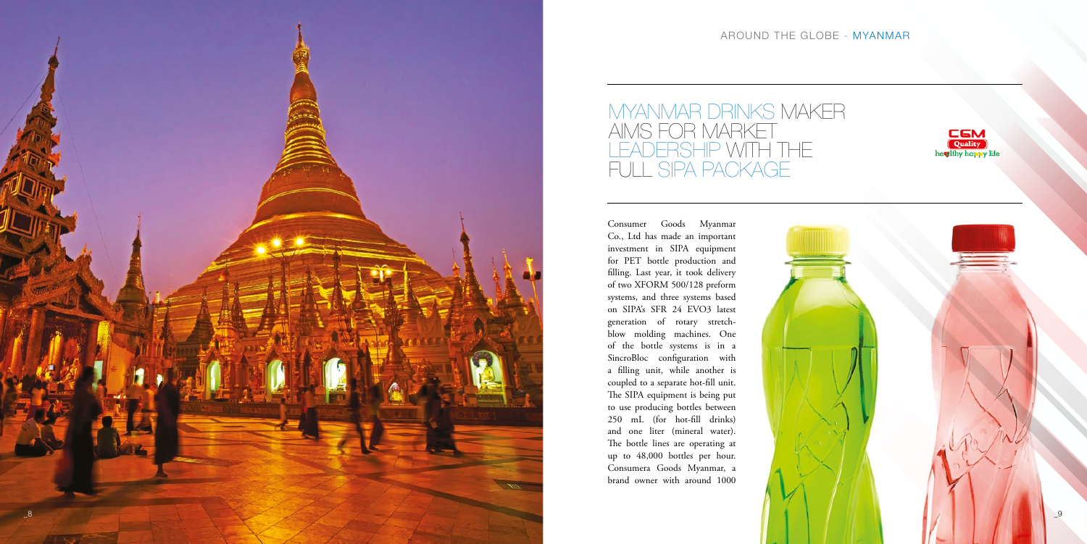

## MYANMAR DRINKS MAKER AIMS FOR MARKET LEADERSHIP WITH THE FULL SIPA PACKAGE

## AROUND THE GLOBE - MYANMAR



Consumer Goods Myanmar Co., Ltd has made an important investment in SIPA equipment for PET bottle production and filling. Last year, it took delivery of two XFORM 500/128 preform systems, and three systems based on SIPA's SFR 24 EVO3 latest generation of rotary stretchblow molding machines. One of the bottle systems is in a SincroBloc configuration with a filling unit, while another is coupled to a separate hot-fill unit. The SIPA equipment is being put to use producing bottles between 250 mL (for hot-fill drinks) and one liter (mineral water). The bottle lines are operating at up to 48,000 bottles per hour. Consumera Goods Myanmar, a brand owner with around 1000